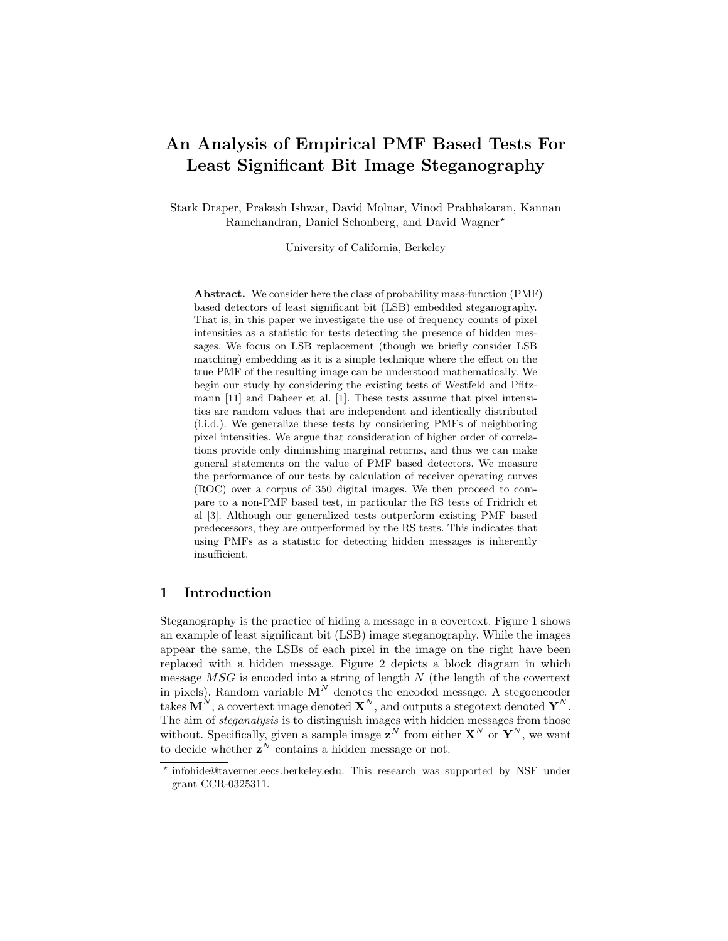# An Analysis of Empirical PMF Based Tests For Least Significant Bit Image Steganography

Stark Draper, Prakash Ishwar, David Molnar, Vinod Prabhakaran, Kannan Ramchandran, Daniel Schonberg, and David Wagner?

University of California, Berkeley

Abstract. We consider here the class of probability mass-function (PMF) based detectors of least significant bit (LSB) embedded steganography. That is, in this paper we investigate the use of frequency counts of pixel intensities as a statistic for tests detecting the presence of hidden messages. We focus on LSB replacement (though we briefly consider LSB matching) embedding as it is a simple technique where the effect on the true PMF of the resulting image can be understood mathematically. We begin our study by considering the existing tests of Westfeld and Pfitzmann [11] and Dabeer et al. [1]. These tests assume that pixel intensities are random values that are independent and identically distributed (i.i.d.). We generalize these tests by considering PMFs of neighboring pixel intensities. We argue that consideration of higher order of correlations provide only diminishing marginal returns, and thus we can make general statements on the value of PMF based detectors. We measure the performance of our tests by calculation of receiver operating curves (ROC) over a corpus of 350 digital images. We then proceed to compare to a non-PMF based test, in particular the RS tests of Fridrich et al [3]. Although our generalized tests outperform existing PMF based predecessors, they are outperformed by the RS tests. This indicates that using PMFs as a statistic for detecting hidden messages is inherently insufficient.

## 1 Introduction

Steganography is the practice of hiding a message in a covertext. Figure 1 shows an example of least significant bit (LSB) image steganography. While the images appear the same, the LSBs of each pixel in the image on the right have been replaced with a hidden message. Figure 2 depicts a block diagram in which message  $MSG$  is encoded into a string of length  $N$  (the length of the covertext in pixels). Random variable  $M^N$  denotes the encoded message. A stegoencoder takes  $\mathbf{M}^N$ , a covertext image denoted  $\mathbf{X}^N$ , and outputs a stegotext denoted  $\mathbf{Y}^N$ . The aim of steganalysis is to distinguish images with hidden messages from those without. Specifically, given a sample image  $\mathbf{z}^N$  from either  $\mathbf{X}^N$  or  $\mathbf{Y}^N$ , we want to decide whether  $z^N$  contains a hidden message or not.

<sup>?</sup> infohide@taverner.eecs.berkeley.edu. This research was supported by NSF under grant CCR-0325311.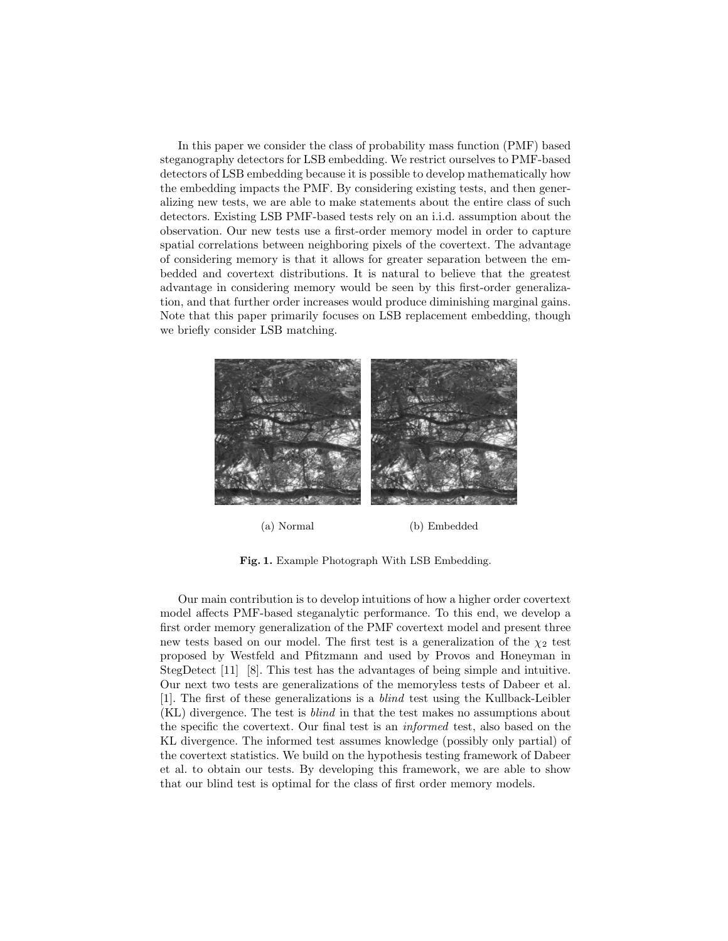In this paper we consider the class of probability mass function (PMF) based steganography detectors for LSB embedding. We restrict ourselves to PMF-based detectors of LSB embedding because it is possible to develop mathematically how the embedding impacts the PMF. By considering existing tests, and then generalizing new tests, we are able to make statements about the entire class of such detectors. Existing LSB PMF-based tests rely on an i.i.d. assumption about the observation. Our new tests use a first-order memory model in order to capture spatial correlations between neighboring pixels of the covertext. The advantage of considering memory is that it allows for greater separation between the embedded and covertext distributions. It is natural to believe that the greatest advantage in considering memory would be seen by this first-order generalization, and that further order increases would produce diminishing marginal gains. Note that this paper primarily focuses on LSB replacement embedding, though we briefly consider LSB matching.



(a) Normal (b) Embedded

Fig. 1. Example Photograph With LSB Embedding.

Our main contribution is to develop intuitions of how a higher order covertext model affects PMF-based steganalytic performance. To this end, we develop a first order memory generalization of the PMF covertext model and present three new tests based on our model. The first test is a generalization of the  $\chi_2$  test proposed by Westfeld and Pfitzmann and used by Provos and Honeyman in StegDetect [11] [8]. This test has the advantages of being simple and intuitive. Our next two tests are generalizations of the memoryless tests of Dabeer et al. [1]. The first of these generalizations is a blind test using the Kullback-Leibler (KL) divergence. The test is blind in that the test makes no assumptions about the specific the covertext. Our final test is an informed test, also based on the KL divergence. The informed test assumes knowledge (possibly only partial) of the covertext statistics. We build on the hypothesis testing framework of Dabeer et al. to obtain our tests. By developing this framework, we are able to show that our blind test is optimal for the class of first order memory models.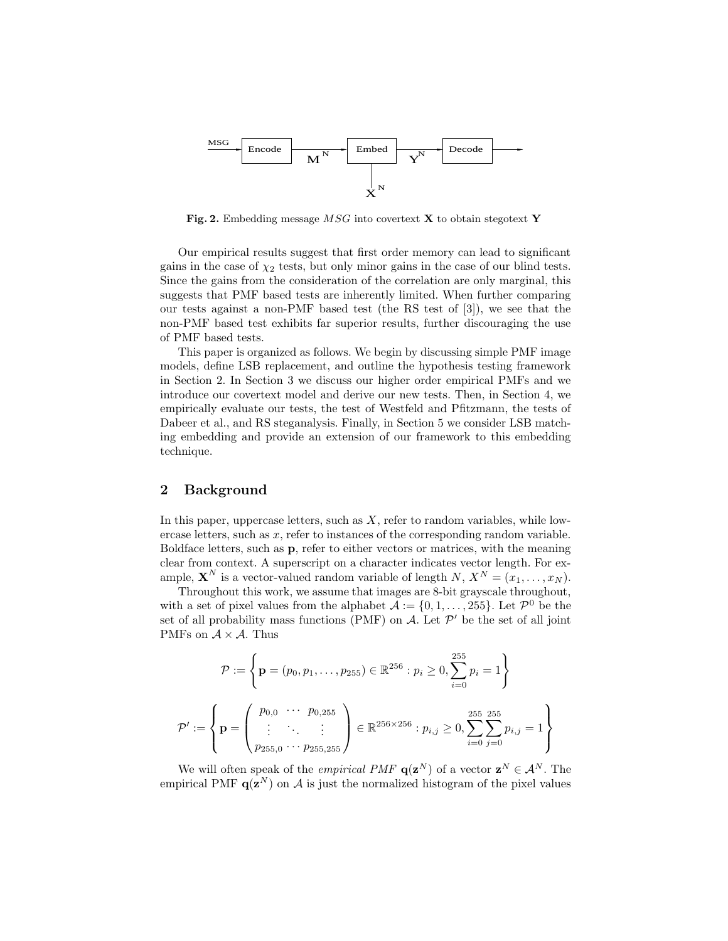

Fig. 2. Embedding message  $MSG$  into covertext **X** to obtain stegotext **Y** 

Our empirical results suggest that first order memory can lead to significant gains in the case of  $\chi_2$  tests, but only minor gains in the case of our blind tests. Since the gains from the consideration of the correlation are only marginal, this suggests that PMF based tests are inherently limited. When further comparing our tests against a non-PMF based test (the RS test of [3]), we see that the non-PMF based test exhibits far superior results, further discouraging the use of PMF based tests.

This paper is organized as follows. We begin by discussing simple PMF image models, define LSB replacement, and outline the hypothesis testing framework in Section 2. In Section 3 we discuss our higher order empirical PMFs and we introduce our covertext model and derive our new tests. Then, in Section 4, we empirically evaluate our tests, the test of Westfeld and Pfitzmann, the tests of Dabeer et al., and RS steganalysis. Finally, in Section 5 we consider LSB matching embedding and provide an extension of our framework to this embedding technique.

# 2 Background

In this paper, uppercase letters, such as  $X$ , refer to random variables, while lowercase letters, such as  $x$ , refer to instances of the corresponding random variable. Boldface letters, such as p, refer to either vectors or matrices, with the meaning clear from context. A superscript on a character indicates vector length. For example,  $\mathbf{X}^{N}$  is a vector-valued random variable of length  $N, X^{N} = (x_{1}, \ldots, x_{N}).$ 

Throughout this work, we assume that images are 8-bit grayscale throughout, with a set of pixel values from the alphabet  $A := \{0, 1, \ldots, 255\}$ . Let  $\mathcal{P}^0$  be the set of all probability mass functions (PMF) on  $A$ . Let  $\mathcal{P}'$  be the set of all joint PMFs on  $A \times A$ . Thus

$$
\mathcal{P} := \left\{ \mathbf{p} = (p_0, p_1, \dots, p_{255}) \in \mathbb{R}^{256} : p_i \ge 0, \sum_{i=0}^{255} p_i = 1 \right\}
$$
  

$$
\mathcal{P}' := \left\{ \mathbf{p} = \begin{pmatrix} p_{0,0} & \cdots & p_{0,255} \\ \vdots & \ddots & \vdots \\ p_{255,0} & \cdots & p_{255,255} \end{pmatrix} \in \mathbb{R}^{256 \times 256} : p_{i,j} \ge 0, \sum_{i=0}^{255} \sum_{j=0}^{255} p_{i,j} = 1 \right\}
$$

We will often speak of the *empirical PMF*  $q(z^N)$  of a vector  $z^N \in A^N$ . The empirical PMF  $q(\mathbf{z}^N)$  on A is just the normalized histogram of the pixel values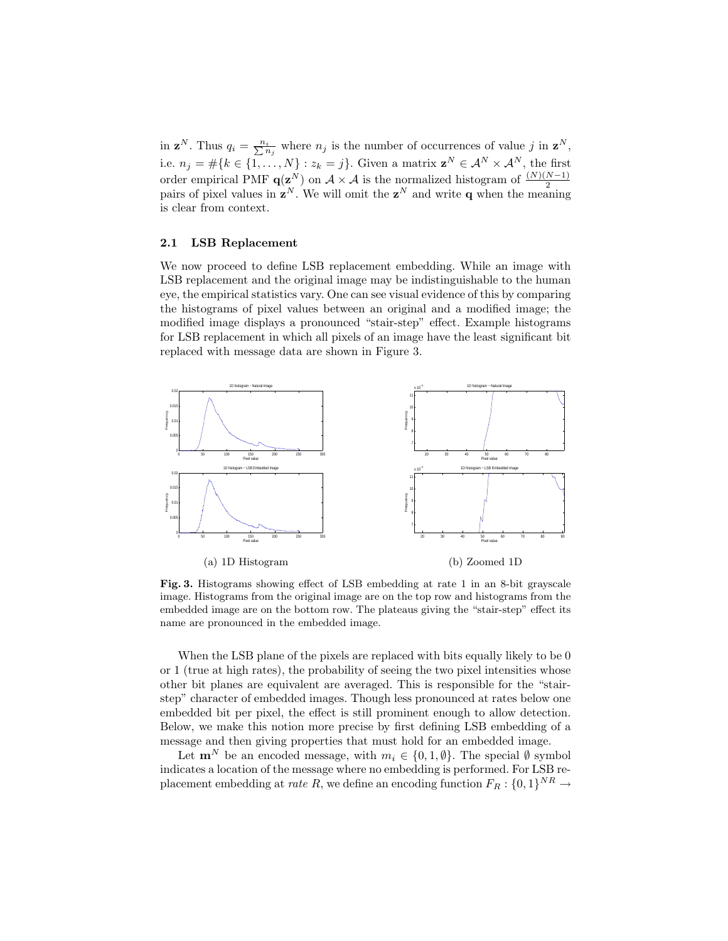in  $\mathbf{z}^N$ . Thus  $q_i = \frac{n_i}{\sum n_j}$  where  $n_j$  is the number of occurrences of value j in  $\mathbf{z}^N$ , i.e.  $n_j = \#\{k \in \{1, \ldots, N\} : z_k = j\}$ . Given a matrix  $\mathbf{z}^N \in \mathcal{A}^N \times \mathcal{A}^N$ , the first order empirical PMF  $\mathbf{q}(\mathbf{z}^{N})$  on  $\mathcal{A} \times \mathcal{A}$  is the normalized histogram of  $\frac{(N)(N-1)}{2}$ pairs of pixel values in  $z^N$ . We will omit the  $z^N$  and write q when the meaning is clear from context.

#### 2.1 LSB Replacement

We now proceed to define LSB replacement embedding. While an image with LSB replacement and the original image may be indistinguishable to the human eye, the empirical statistics vary. One can see visual evidence of this by comparing the histograms of pixel values between an original and a modified image; the modified image displays a pronounced "stair-step" effect. Example histograms for LSB replacement in which all pixels of an image have the least significant bit replaced with message data are shown in Figure 3.



Fig. 3. Histograms showing effect of LSB embedding at rate 1 in an 8-bit grayscale image. Histograms from the original image are on the top row and histograms from the embedded image are on the bottom row. The plateaus giving the "stair-step" effect its name are pronounced in the embedded image.

When the LSB plane of the pixels are replaced with bits equally likely to be 0 or 1 (true at high rates), the probability of seeing the two pixel intensities whose other bit planes are equivalent are averaged. This is responsible for the "stairstep" character of embedded images. Though less pronounced at rates below one embedded bit per pixel, the effect is still prominent enough to allow detection. Below, we make this notion more precise by first defining LSB embedding of a message and then giving properties that must hold for an embedded image.

Let  $\mathbf{m}^N$  be an encoded message, with  $m_i \in \{0, 1, \emptyset\}$ . The special  $\emptyset$  symbol indicates a location of the message where no embedding is performed. For LSB replacement embedding at *rate R*, we define an encoding function  $F_R: \{0, 1\}^{NR} \to$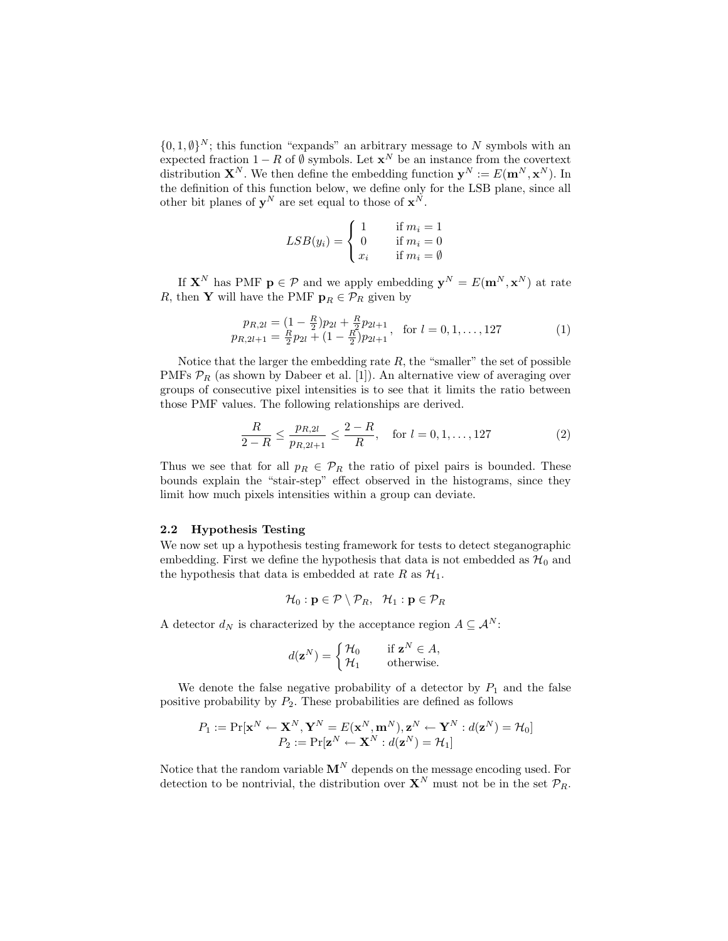$\{0, 1, \emptyset\}^N$ ; this function "expands" an arbitrary message to N symbols with an expected fraction  $1 - R$  of  $\emptyset$  symbols. Let  $\mathbf{x}^N$  be an instance from the covertext distribution  $\mathbf{X}^{N}$ . We then define the embedding function  $\mathbf{y}^{N} := E(\mathbf{m}^{N}, \mathbf{x}^{N})$ . In the definition of this function below, we define only for the LSB plane, since all other bit planes of  $y^N$  are set equal to those of  $x^N$ .

$$
LSB(y_i) = \begin{cases} 1 & \text{if } m_i = 1\\ 0 & \text{if } m_i = 0\\ x_i & \text{if } m_i = \emptyset \end{cases}
$$

If  $\mathbf{X}^N$  has PMF  $p \in \mathcal{P}$  and we apply embedding  $\mathbf{y}^N = E(\mathbf{m}^N, \mathbf{x}^N)$  at rate R, then Y will have the PMF  $p_R \in \mathcal{P}_R$  given by

$$
p_{R,2l} = (1 - \frac{R}{2})p_{2l} + \frac{R}{2}p_{2l+1}, \quad \text{for } l = 0, 1, ..., 127
$$
  
\n
$$
p_{R,2l+1} = \frac{R}{2}p_{2l} + (1 - \frac{R}{2})p_{2l+1}, \quad \text{for } l = 0, 1, ..., 127
$$
 (1)

Notice that the larger the embedding rate  $R$ , the "smaller" the set of possible PMFs  $P_R$  (as shown by Dabeer et al. [1]). An alternative view of averaging over groups of consecutive pixel intensities is to see that it limits the ratio between those PMF values. The following relationships are derived.

$$
\frac{R}{2-R} \le \frac{p_{R,2l}}{p_{R,2l+1}} \le \frac{2-R}{R}, \quad \text{for } l = 0, 1, \dots, 127
$$
 (2)

Thus we see that for all  $p_R \in \mathcal{P}_R$  the ratio of pixel pairs is bounded. These bounds explain the "stair-step" effect observed in the histograms, since they limit how much pixels intensities within a group can deviate.

## 2.2 Hypothesis Testing

We now set up a hypothesis testing framework for tests to detect steganographic embedding. First we define the hypothesis that data is not embedded as  $\mathcal{H}_0$  and the hypothesis that data is embedded at rate R as  $\mathcal{H}_1$ .

$$
\mathcal{H}_0: \mathbf{p} \in \mathcal{P} \setminus \mathcal{P}_R, \ \ \mathcal{H}_1: \mathbf{p} \in \mathcal{P}_R
$$

A detector  $d_N$  is characterized by the acceptance region  $A \subseteq \mathcal{A}^N$ :

$$
d(\mathbf{z}^N) = \begin{cases} \mathcal{H}_0 & \text{if } \mathbf{z}^N \in A, \\ \mathcal{H}_1 & \text{otherwise.} \end{cases}
$$

We denote the false negative probability of a detector by  $P_1$  and the false positive probability by  $P_2$ . These probabilities are defined as follows

$$
P_1 := \Pr[\mathbf{x}^N \leftarrow \mathbf{X}^N, \mathbf{Y}^N = E(\mathbf{x}^N, \mathbf{m}^N), \mathbf{z}^N \leftarrow \mathbf{Y}^N : d(\mathbf{z}^N) = \mathcal{H}_0]
$$
  

$$
P_2 := \Pr[\mathbf{z}^N \leftarrow \mathbf{X}^N : d(\mathbf{z}^N) = \mathcal{H}_1]
$$

Notice that the random variable  $\mathbf{M}^N$  depends on the message encoding used. For detection to be nontrivial, the distribution over  $X^N$  must not be in the set  $\mathcal{P}_R$ .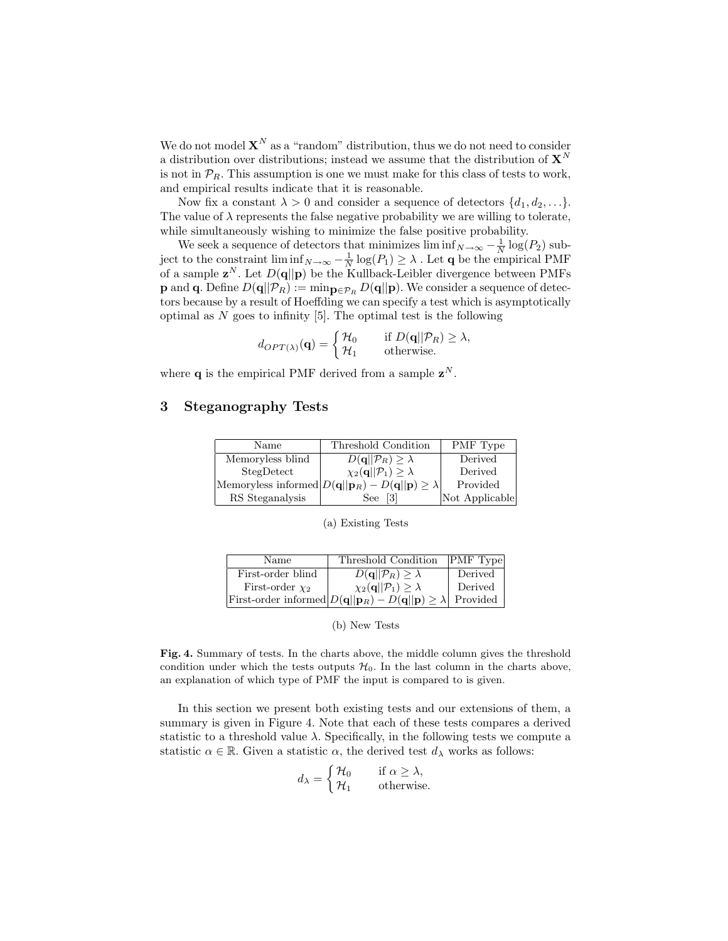We do not model  $\mathbf{X}^{N}$  as a "random" distribution, thus we do not need to consider a distribution over distributions; instead we assume that the distribution of  $\mathbf{X}^{N}$ is not in  $\mathcal{P}_R$ . This assumption is one we must make for this class of tests to work, and empirical results indicate that it is reasonable.

Now fix a constant  $\lambda > 0$  and consider a sequence of detectors  $\{d_1, d_2, \ldots\}$ . The value of  $\lambda$  represents the false negative probability we are willing to tolerate, while simultaneously wishing to minimize the false positive probability.

We seek a sequence of detectors that minimizes  $\liminf_{N\to\infty} -\frac{1}{N} \log(P_2)$  subject to the constraint  $\liminf_{N\to\infty} -\frac{1}{N} \log(P_1) \geq \lambda$ . Let **q** be the empirical PMF of a sample  $\mathbf{z}^N$ . Let  $D(\mathbf{q}||\mathbf{p})$  be the Kullback-Leibler divergence between PMFs **p** and **q**. Define  $D(q||\mathcal{P}_R) := \min_{\mathbf{p} \in \mathcal{P}_R} D(q||\mathbf{p})$ . We consider a sequence of detectors because by a result of Hoeffding we can specify a test which is asymptotically optimal as  $N$  goes to infinity [5]. The optimal test is the following

$$
d_{OPT(\lambda)}(\mathbf{q}) = \begin{cases} \mathcal{H}_0 & \text{if } D(\mathbf{q}||\mathcal{P}_R) \ge \lambda, \\ \mathcal{H}_1 & \text{otherwise.} \end{cases}
$$

where **q** is the empirical PMF derived from a sample  $z^N$ .

# 3 Steganography Tests

| Name             | Threshold Condition                                                                        | PMF Type       |
|------------------|--------------------------------------------------------------------------------------------|----------------|
| Memoryless blind | $D(\mathbf{q}  \mathcal{P}_R) \geq \lambda$                                                | Derived        |
| StegDetect       | $\chi_2(\mathbf{q}  \mathcal{P}_1) \geq \lambda$                                           | Derived        |
|                  | Memoryless informed $D(\mathbf{q}  \mathbf{p}_R) - D(\mathbf{q}  \mathbf{p}) \geq \lambda$ | Provided       |
| RS Steganalysis  | See [3]                                                                                    | Not Applicable |

|  |  | (a) Existing Tests |  |
|--|--|--------------------|--|
|--|--|--------------------|--|

| Name                 | Threshold Condition                                                                                  | <b>PMF</b> Type |
|----------------------|------------------------------------------------------------------------------------------------------|-----------------|
| First-order blind    | $D(\mathbf{q}  \mathcal{P}_R) \geq \lambda$                                                          | Derived         |
| First-order $\chi_2$ | $\chi_2(\mathbf{q}  \mathcal{P}_1) \geq \lambda$                                                     | Derived         |
|                      | First-order informed $D(\mathbf{q}  \mathbf{p}_R) - D(\mathbf{q}  \mathbf{p}) \geq \lambda$ Provided |                 |

### (b) New Tests

Fig. 4. Summary of tests. In the charts above, the middle column gives the threshold condition under which the tests outputs  $H_0$ . In the last column in the charts above, an explanation of which type of PMF the input is compared to is given.

In this section we present both existing tests and our extensions of them, a summary is given in Figure 4. Note that each of these tests compares a derived statistic to a threshold value  $\lambda$ . Specifically, in the following tests we compute a statistic  $\alpha \in \mathbb{R}$ . Given a statistic  $\alpha$ , the derived test  $d_{\lambda}$  works as follows:

$$
d_{\lambda} = \begin{cases} \mathcal{H}_0 & \text{if } \alpha \ge \lambda, \\ \mathcal{H}_1 & \text{otherwise.} \end{cases}
$$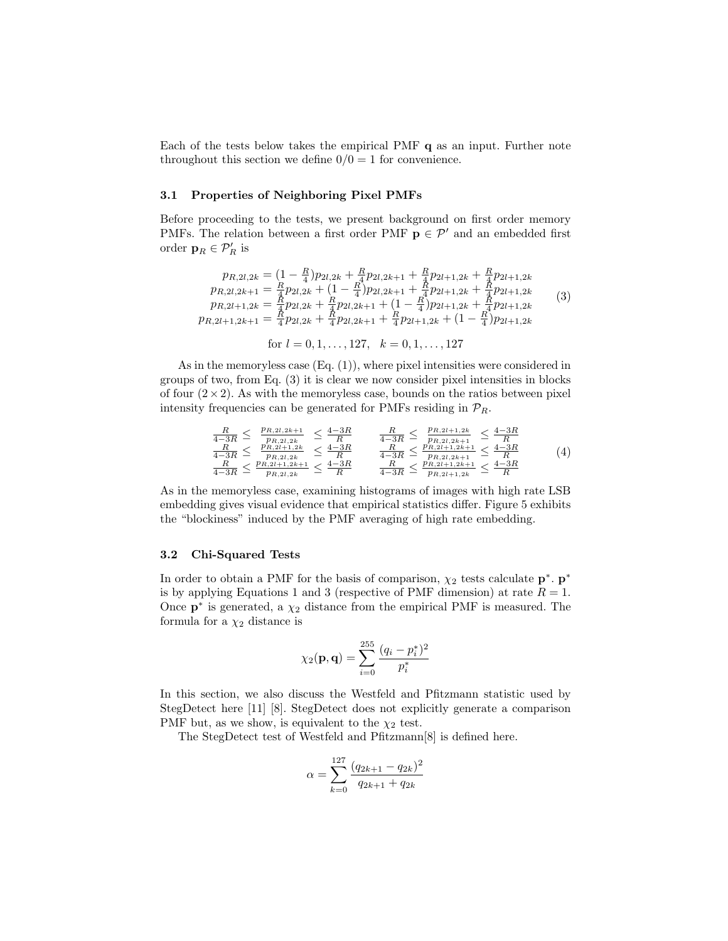Each of the tests below takes the empirical PMF q as an input. Further note throughout this section we define  $0/0 = 1$  for convenience.

#### 3.1 Properties of Neighboring Pixel PMFs

Before proceeding to the tests, we present background on first order memory PMFs. The relation between a first order PMF  $p \in \mathcal{P}'$  and an embedded first order  $\mathbf{p}_R \in \mathcal{P}'_R$  is

$$
p_{R,2l,2k} = (1 - \frac{R}{4})p_{2l,2k} + \frac{R}{4}p_{2l,2k+1} + \frac{R}{4}p_{2l+1,2k} + \frac{R}{4}p_{2l+1,2k}
$$
  
\n
$$
p_{R,2l,2k+1} = \frac{R}{4}p_{2l,2k} + (1 - \frac{R}{4})p_{2l,2k+1} + \frac{R}{4}p_{2l+1,2k} + \frac{R}{4}p_{2l+1,2k}
$$
  
\n
$$
p_{R,2l+1,2k} = \frac{R}{4}p_{2l,2k} + \frac{R}{4}p_{2l,2k+1} + (1 - \frac{R}{4})p_{2l+1,2k} + \frac{R}{4}p_{2l+1,2k}
$$
  
\n
$$
p_{R,2l+1,2k+1} = \frac{R}{4}p_{2l,2k} + \frac{R}{4}p_{2l,2k+1} + \frac{R}{4}p_{2l+1,2k} + (1 - \frac{R}{4})p_{2l+1,2k}
$$
\n(3)

for  $l = 0, 1, \ldots, 127, \quad k = 0, 1, \ldots, 127$ 

As in the memoryless case (Eq. (1)), where pixel intensities were considered in groups of two, from Eq. (3) it is clear we now consider pixel intensities in blocks of four  $(2\times 2)$ . As with the memoryless case, bounds on the ratios between pixel intensity frequencies can be generated for PMFs residing in  $\mathcal{P}_R$ .

$$
\frac{R}{4-3R} \le \frac{p_{R,2l,2k+1}}{p_{R,2l,2k}} \le \frac{4-3R}{R} \qquad \frac{R}{4-3R} \le \frac{p_{R,2l+1,2k}}{p_{R,2l,2k+1}} \le \frac{4-3R}{R}
$$
\n
$$
\frac{R}{4-3R} \le \frac{p_{R,2l+1,2k}}{p_{R,2l}} \le \frac{4-3R}{R} \qquad \frac{R}{4-3R} \le \frac{p_{R,2l+1,2k+1}}{p_{R,2l+1,2k+1}} \le \frac{4-3R}{R}
$$
\n
$$
\frac{R}{4-3R} \le \frac{p_{R,2l+1,2k+1}}{p_{R,2l+1,2k}} \le \frac{4-3R}{R} \qquad \frac{R}{4-3R} \le \frac{p_{R,2l+1,2k+1}}{p_{R,2l+1,2k}} \le \frac{4-3R}{R}
$$
\n
$$
(4)
$$

As in the memoryless case, examining histograms of images with high rate LSB embedding gives visual evidence that empirical statistics differ. Figure 5 exhibits the "blockiness" induced by the PMF averaging of high rate embedding.

#### 3.2 Chi-Squared Tests

In order to obtain a PMF for the basis of comparison,  $\chi_2$  tests calculate  $\mathbf{p}^*$ .  $\mathbf{p}^*$ is by applying Equations 1 and 3 (respective of PMF dimension) at rate  $R = 1$ . Once  $\mathbf{p}^*$  is generated, a  $\chi_2$  distance from the empirical PMF is measured. The formula for a  $\chi_2$  distance is

$$
\chi_2(\mathbf{p}, \mathbf{q}) = \sum_{i=0}^{255} \frac{(q_i - p_i^*)^2}{p_i^*}
$$

In this section, we also discuss the Westfeld and Pfitzmann statistic used by StegDetect here [11] [8]. StegDetect does not explicitly generate a comparison PMF but, as we show, is equivalent to the  $\chi_2$  test.

The StegDetect test of Westfeld and Pfitzmann[8] is defined here.

$$
\alpha = \sum_{k=0}^{127} \frac{(q_{2k+1} - q_{2k})^2}{q_{2k+1} + q_{2k}}
$$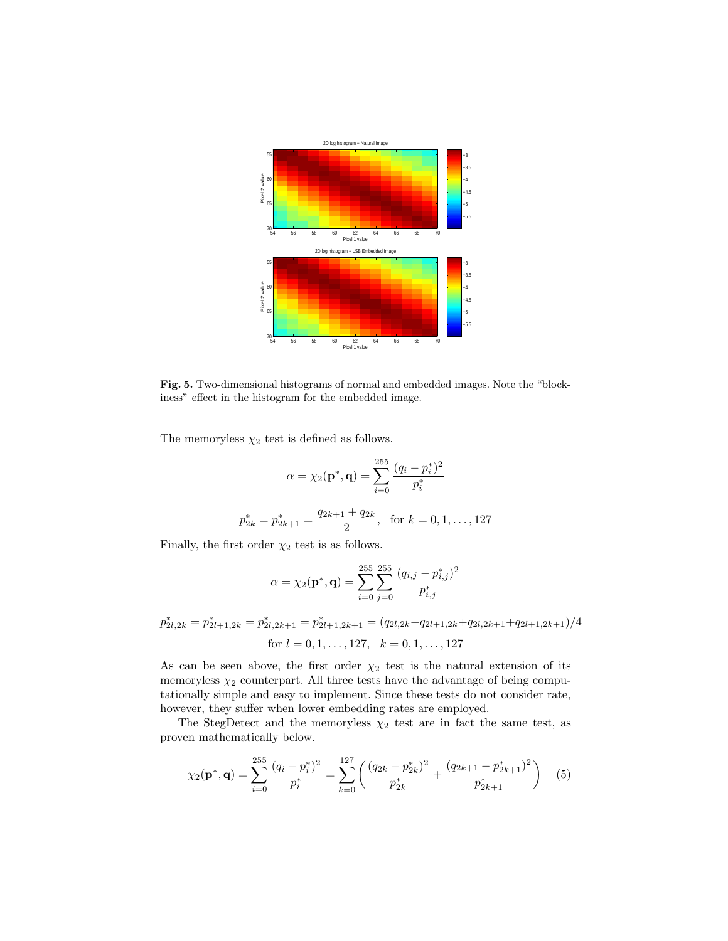

Fig. 5. Two-dimensional histograms of normal and embedded images. Note the "blockiness" effect in the histogram for the embedded image.

The memoryless  $\chi_2$  test is defined as follows.

$$
\alpha = \chi_2(\mathbf{p}^*, \mathbf{q}) = \sum_{i=0}^{255} \frac{(q_i - p_i^*)^2}{p_i^*}
$$
  

$$
p_{2k}^* = p_{2k+1}^* = \frac{q_{2k+1} + q_{2k}}{2}, \text{ for } k = 0, 1, ..., 127
$$

Finally, the first order  $\chi_2$  test is as follows.

$$
\alpha = \chi_2(\mathbf{p}^*, \mathbf{q}) = \sum_{i=0}^{255} \sum_{j=0}^{255} \frac{(q_{i,j} - p_{i,j}^*)^2}{p_{i,j}^*}
$$

 $p_{2l,2k}^* = p_{2l+1,2k}^* = p_{2l,2k+1}^* = p_{2l+1,2k+1}^* = (q_{2l,2k} + q_{2l+1,2k} + q_{2l,2k+1} + q_{2l+1,2k+1})/4$ for  $l = 0, 1, \ldots, 127, \quad k = 0, 1, \ldots, 127$ 

As can be seen above, the first order  $\chi_2$  test is the natural extension of its memoryless  $\chi_2$  counterpart. All three tests have the advantage of being computationally simple and easy to implement. Since these tests do not consider rate, however, they suffer when lower embedding rates are employed.

The StegDetect and the memoryless  $\chi_2$  test are in fact the same test, as proven mathematically below.

$$
\chi_2(\mathbf{p}^*, \mathbf{q}) = \sum_{i=0}^{255} \frac{(q_i - p_i^*)^2}{p_i^*} = \sum_{k=0}^{127} \left( \frac{(q_{2k} - p_{2k}^*)^2}{p_{2k}^*} + \frac{(q_{2k+1} - p_{2k+1}^*)^2}{p_{2k+1}^*} \right)
$$
(5)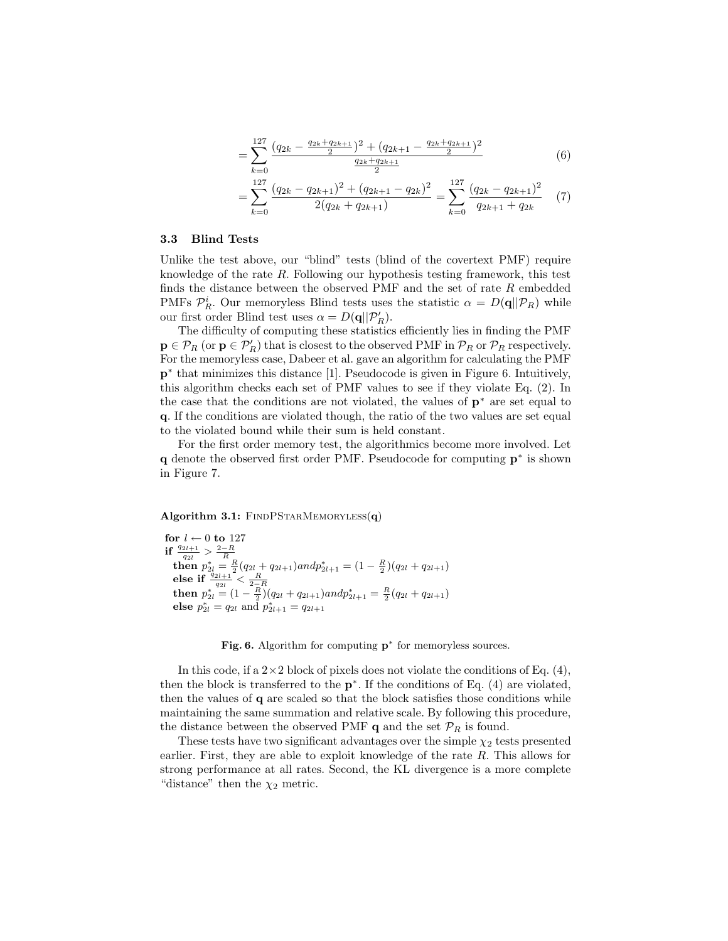$$
=\sum_{k=0}^{127} \frac{(q_{2k} - \frac{q_{2k} + q_{2k+1}}{2})^2 + (q_{2k+1} - \frac{q_{2k} + q_{2k+1}}{2})^2}{\frac{q_{2k} + q_{2k+1}}{2}}
$$
(6)

$$
= \sum_{k=0}^{127} \frac{(q_{2k} - q_{2k+1})^2 + (q_{2k+1} - q_{2k})^2}{2(q_{2k} + q_{2k+1})} = \sum_{k=0}^{127} \frac{(q_{2k} - q_{2k+1})^2}{q_{2k+1} + q_{2k}} \tag{7}
$$

#### 3.3 Blind Tests

Unlike the test above, our "blind" tests (blind of the covertext PMF) require knowledge of the rate R. Following our hypothesis testing framework, this test finds the distance between the observed PMF and the set of rate  $R$  embedded PMFs  $\mathcal{P}_R^i$ . Our memoryless Blind tests uses the statistic  $\alpha = D(\mathbf{q}||\mathcal{P}_R)$  while our first order Blind test uses  $\alpha = D(\mathbf{q}||\mathcal{P}'_R)$ .

The difficulty of computing these statistics efficiently lies in finding the PMF  $\mathbf{p} \in \mathcal{P}_R$  (or  $\mathbf{p} \in \mathcal{P}'_R$ ) that is closest to the observed PMF in  $\mathcal{P}_R$  or  $\mathcal{P}_R$  respectively. For the memoryless case, Dabeer et al. gave an algorithm for calculating the PMF p<sup>\*</sup> that minimizes this distance [1]. Pseudocode is given in Figure 6. Intuitively, this algorithm checks each set of PMF values to see if they violate Eq. (2). In the case that the conditions are not violated, the values of  $\mathbf{p}^*$  are set equal to q. If the conditions are violated though, the ratio of the two values are set equal to the violated bound while their sum is held constant.

For the first order memory test, the algorithmics become more involved. Let q denote the observed first order PMF. Pseudocode for computing p<sup>∗</sup> is shown in Figure 7.

Algorithm 3.1: FINDPSTARMEMORYLESS(q)

for  $l \leftarrow 0$  to 127 if  $\frac{q_{2l+1}}{q_{2l}} > \frac{2-R}{R}$ <br>then  $p_{2l}^{*} = \frac{R}{2}(q_{2l} + q_{2l+1})and p_{2l+1}^{*} = (1 - \frac{R}{2})(q_{2l} + q_{2l+1})$ else if  $\frac{q_{2l+1}}{q_{2l}} < \frac{R}{2-R}$ then  $p_{2l}^* = (1 - \frac{R}{2})(q_{2l} + q_{2l+1})$ and $p_{2l+1}^* = \frac{R}{2}(q_{2l} + q_{2l+1})$ else  $p_{2l}^* = q_{2l}$  and  $p_{2l+1}^* = q_{2l+1}$ 

Fig. 6. Algorithm for computing  $p^*$  for memoryless sources.

In this code, if a  $2\times 2$  block of pixels does not violate the conditions of Eq. (4), then the block is transferred to the  $p^*$ . If the conditions of Eq. (4) are violated, then the values of q are scaled so that the block satisfies those conditions while maintaining the same summation and relative scale. By following this procedure, the distance between the observed PMF q and the set  $\mathcal{P}_R$  is found.

These tests have two significant advantages over the simple  $\chi_2$  tests presented earlier. First, they are able to exploit knowledge of the rate  $R$ . This allows for strong performance at all rates. Second, the KL divergence is a more complete "distance" then the  $\chi_2$  metric.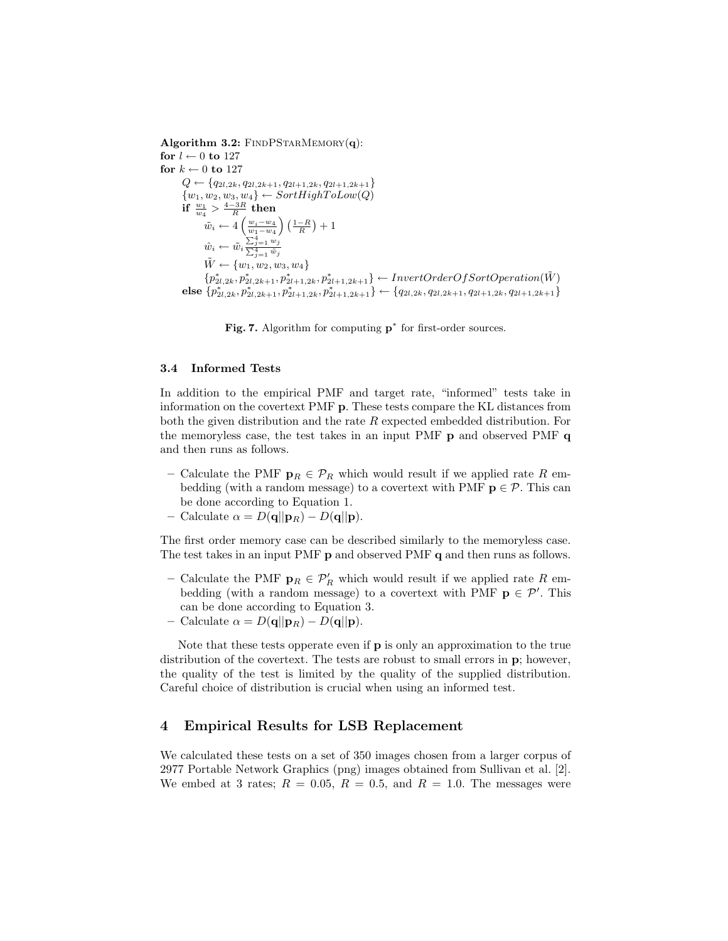Algorithm 3.2: FINDPSTARMEMORY(q): for  $l \leftarrow 0$  to 127 for  $k \leftarrow 0$  to 127  $Q \leftarrow \{q_{2l,2k}, q_{2l,2k+1}, q_{2l+1,2k}, q_{2l+1,2k+1}\}$  $\{w_1, w_2, w_3, w_4\} \leftarrow SortHighToLow(Q)$ if  $\frac{w_1}{w_4} > \frac{4-3R}{R}$  then  $\tilde{w}_i \leftarrow 4 \left( \frac{w_i - w_4}{w_1 - w_4} \right) \left( \frac{1 - R}{R} \right) + 1$  $\hat{w}_i \leftarrow \tilde{w}_i \frac{\sum_{j=1}^4 w'_j}{\sum_{j=1}^4 \tilde{w}_j}$  $\tilde{W} \leftarrow \{w_1, w_2, w_3, w_4\}$  ${p}_{2l,2k}^*, p_{2l,2k+1}^*, p_{2l+1,2k}^*, p_{2l+1,2k+1}^* \} \leftarrow InvertOrderOfSortOperation(\tilde{W})$ else  $\{p_{2l,2k}^*, p_{2l,2k+1}^*, p_{2l+1,2k}^*, p_{2l+1,2k+1}^*\} \leftarrow \{q_{2l,2k}, q_{2l,2k+1}, q_{2l+1,2k}, q_{2l+1,2k+1}\}$ 

Fig. 7. Algorithm for computing  $p^*$  for first-order sources.

#### 3.4 Informed Tests

In addition to the empirical PMF and target rate, "informed" tests take in information on the covertext PMF p. These tests compare the KL distances from both the given distribution and the rate R expected embedded distribution. For the memoryless case, the test takes in an input PMF p and observed PMF q and then runs as follows.

- Calculate the PMF  $\mathbf{p}_R \in \mathcal{P}_R$  which would result if we applied rate R embedding (with a random message) to a covertext with PMF  $p \in \mathcal{P}$ . This can be done according to Equation 1.
- Calculate  $\alpha = D(q||\mathbf{p}_R) D(q||\mathbf{p}).$

The first order memory case can be described similarly to the memoryless case. The test takes in an input PMF p and observed PMF q and then runs as follows.

- Calculate the PMF  $\mathbf{p}_R \in \mathcal{P}'_R$  which would result if we applied rate R embedding (with a random message) to a covertext with PMF  $p \in \mathcal{P}'$ . This can be done according to Equation 3.
- Calculate  $\alpha = D(\mathbf{q}||\mathbf{p}_R) D(\mathbf{q}||\mathbf{p}).$

Note that these tests opperate even if p is only an approximation to the true distribution of the covertext. The tests are robust to small errors in  $\bf{p}$ ; however, the quality of the test is limited by the quality of the supplied distribution. Careful choice of distribution is crucial when using an informed test.

# 4 Empirical Results for LSB Replacement

We calculated these tests on a set of 350 images chosen from a larger corpus of 2977 Portable Network Graphics (png) images obtained from Sullivan et al. [2]. We embed at 3 rates;  $R = 0.05$ ,  $R = 0.5$ , and  $R = 1.0$ . The messages were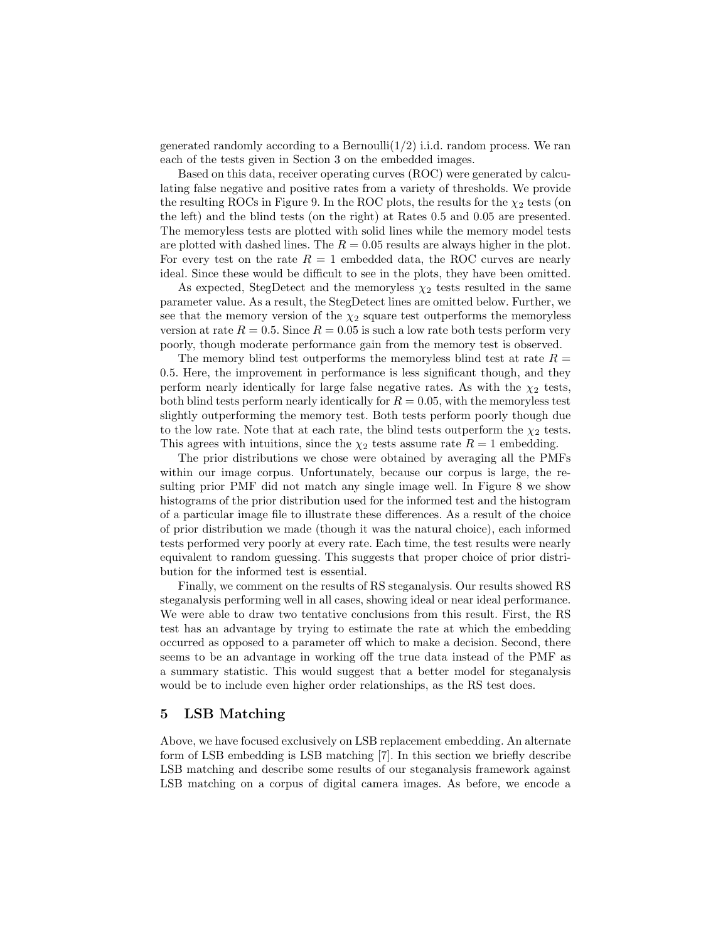generated randomly according to a Bernoulli $(1/2)$  i.i.d. random process. We ran each of the tests given in Section 3 on the embedded images.

Based on this data, receiver operating curves (ROC) were generated by calculating false negative and positive rates from a variety of thresholds. We provide the resulting ROCs in Figure 9. In the ROC plots, the results for the  $\chi_2$  tests (on the left) and the blind tests (on the right) at Rates 0.5 and 0.05 are presented. The memoryless tests are plotted with solid lines while the memory model tests are plotted with dashed lines. The  $R = 0.05$  results are always higher in the plot. For every test on the rate  $R = 1$  embedded data, the ROC curves are nearly ideal. Since these would be difficult to see in the plots, they have been omitted.

As expected, StegDetect and the memoryless  $\chi_2$  tests resulted in the same parameter value. As a result, the StegDetect lines are omitted below. Further, we see that the memory version of the  $\chi_2$  square test outperforms the memoryless version at rate  $R = 0.5$ . Since  $R = 0.05$  is such a low rate both tests perform very poorly, though moderate performance gain from the memory test is observed.

The memory blind test outperforms the memoryless blind test at rate  $R =$ 0.5. Here, the improvement in performance is less significant though, and they perform nearly identically for large false negative rates. As with the  $\chi_2$  tests, both blind tests perform nearly identically for  $R = 0.05$ , with the memoryless test slightly outperforming the memory test. Both tests perform poorly though due to the low rate. Note that at each rate, the blind tests outperform the  $\chi_2$  tests. This agrees with intuitions, since the  $\chi_2$  tests assume rate  $R = 1$  embedding.

The prior distributions we chose were obtained by averaging all the PMFs within our image corpus. Unfortunately, because our corpus is large, the resulting prior PMF did not match any single image well. In Figure 8 we show histograms of the prior distribution used for the informed test and the histogram of a particular image file to illustrate these differences. As a result of the choice of prior distribution we made (though it was the natural choice), each informed tests performed very poorly at every rate. Each time, the test results were nearly equivalent to random guessing. This suggests that proper choice of prior distribution for the informed test is essential.

Finally, we comment on the results of RS steganalysis. Our results showed RS steganalysis performing well in all cases, showing ideal or near ideal performance. We were able to draw two tentative conclusions from this result. First, the RS test has an advantage by trying to estimate the rate at which the embedding occurred as opposed to a parameter off which to make a decision. Second, there seems to be an advantage in working off the true data instead of the PMF as a summary statistic. This would suggest that a better model for steganalysis would be to include even higher order relationships, as the RS test does.

## 5 LSB Matching

Above, we have focused exclusively on LSB replacement embedding. An alternate form of LSB embedding is LSB matching [7]. In this section we briefly describe LSB matching and describe some results of our steganalysis framework against LSB matching on a corpus of digital camera images. As before, we encode a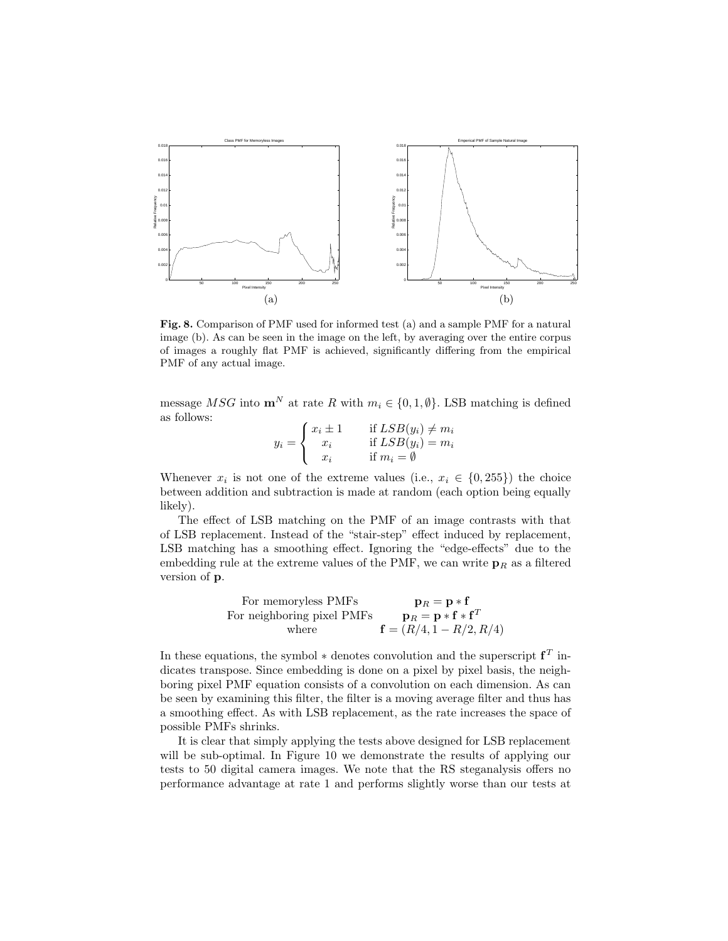

Fig. 8. Comparison of PMF used for informed test (a) and a sample PMF for a natural image (b). As can be seen in the image on the left, by averaging over the entire corpus of images a roughly flat PMF is achieved, significantly differing from the empirical PMF of any actual image.

message MSG into  $\mathbf{m}^N$  at rate R with  $m_i \in \{0, 1, \emptyset\}$ . LSB matching is defined as follows:

$$
y_i = \begin{cases} x_i \pm 1 & \text{if } LSB(y_i) \neq m_i \\ x_i & \text{if } LSB(y_i) = m_i \\ x_i & \text{if } m_i = \emptyset \end{cases}
$$

Whenever  $x_i$  is not one of the extreme values (i.e.,  $x_i \in \{0, 255\}$ ) the choice between addition and subtraction is made at random (each option being equally likely).

The effect of LSB matching on the PMF of an image contrasts with that of LSB replacement. Instead of the "stair-step" effect induced by replacement, LSB matching has a smoothing effect. Ignoring the "edge-effects" due to the embedding rule at the extreme values of the PMF, we can write  $p_R$  as a filtered version of p.

For memoryless PMFs  
For neighboring pixel PMFs  
where  

$$
\mathbf{p}_R = \mathbf{p} * \mathbf{f}
$$

$$
\mathbf{p}_R = \mathbf{p} * \mathbf{f} * \mathbf{f}^T
$$
where
$$
\mathbf{f} = (R/4, 1 - R/2, R/4)
$$

In these equations, the symbol  $*$  denotes convolution and the superscript  $f^T$  indicates transpose. Since embedding is done on a pixel by pixel basis, the neighboring pixel PMF equation consists of a convolution on each dimension. As can be seen by examining this filter, the filter is a moving average filter and thus has a smoothing effect. As with LSB replacement, as the rate increases the space of possible PMFs shrinks.

It is clear that simply applying the tests above designed for LSB replacement will be sub-optimal. In Figure 10 we demonstrate the results of applying our tests to 50 digital camera images. We note that the RS steganalysis offers no performance advantage at rate 1 and performs slightly worse than our tests at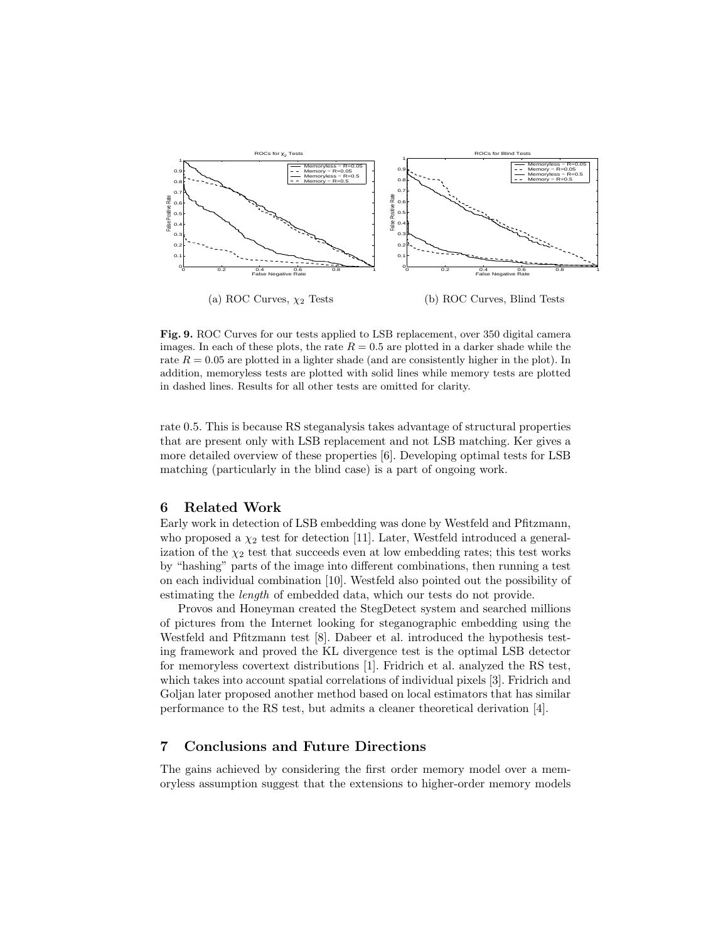

Fig. 9. ROC Curves for our tests applied to LSB replacement, over 350 digital camera images. In each of these plots, the rate  $R = 0.5$  are plotted in a darker shade while the rate  $R = 0.05$  are plotted in a lighter shade (and are consistently higher in the plot). In addition, memoryless tests are plotted with solid lines while memory tests are plotted in dashed lines. Results for all other tests are omitted for clarity.

rate 0.5. This is because RS steganalysis takes advantage of structural properties that are present only with LSB replacement and not LSB matching. Ker gives a more detailed overview of these properties [6]. Developing optimal tests for LSB matching (particularly in the blind case) is a part of ongoing work.

## 6 Related Work

Early work in detection of LSB embedding was done by Westfeld and Pfitzmann, who proposed a  $\chi_2$  test for detection [11]. Later, Westfeld introduced a generalization of the  $\chi_2$  test that succeeds even at low embedding rates; this test works by "hashing" parts of the image into different combinations, then running a test on each individual combination [10]. Westfeld also pointed out the possibility of estimating the length of embedded data, which our tests do not provide.

Provos and Honeyman created the StegDetect system and searched millions of pictures from the Internet looking for steganographic embedding using the Westfeld and Pfitzmann test [8]. Dabeer et al. introduced the hypothesis testing framework and proved the KL divergence test is the optimal LSB detector for memoryless covertext distributions [1]. Fridrich et al. analyzed the RS test, which takes into account spatial correlations of individual pixels [3]. Fridrich and Goljan later proposed another method based on local estimators that has similar performance to the RS test, but admits a cleaner theoretical derivation [4].

# 7 Conclusions and Future Directions

The gains achieved by considering the first order memory model over a memoryless assumption suggest that the extensions to higher-order memory models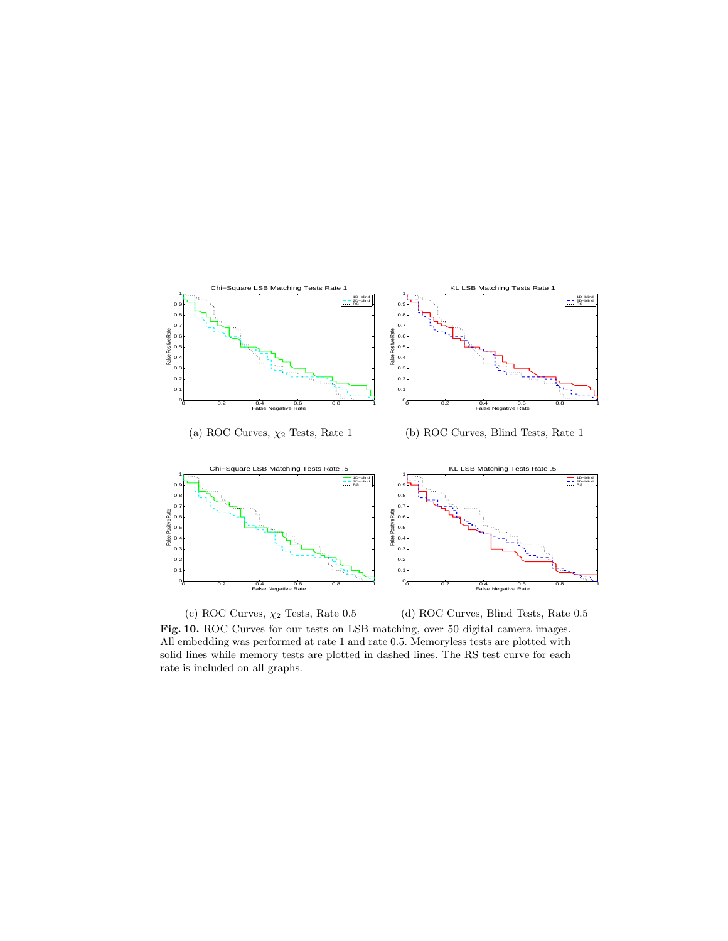

(c) ROC Curves,  $\chi_2$  Tests, Rate 0.5

(d) ROC Curves, Blind Tests, Rate 0.5

Fig. 10. ROC Curves for our tests on LSB matching, over 50 digital camera images. All embedding was performed at rate 1 and rate 0.5. Memoryless tests are plotted with solid lines while memory tests are plotted in dashed lines. The RS test curve for each rate is included on all graphs.